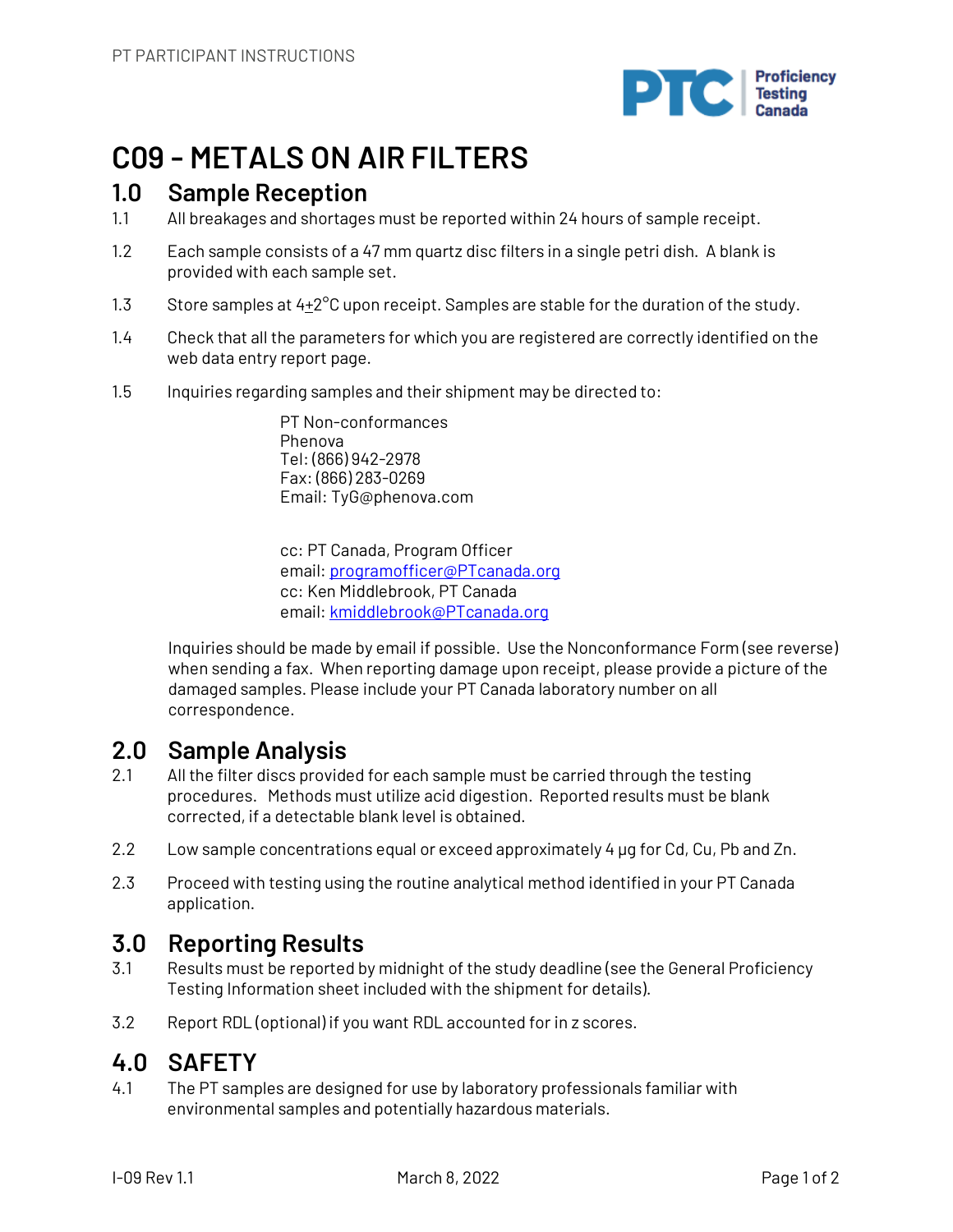

## **C09 - METALS ON AIR FILTERS**

### **1.0 Sample Reception**

- 1.1 All breakages and shortages must be reported within 24 hours of sample receipt.
- 1.2 Each sample consists of a 47 mm quartz disc filters in a single petri dish. A blank is provided with each sample set.
- 1.3 Store samples at  $4+2^{\circ}$ C upon receipt. Samples are stable for the duration of the study.
- 1.4 Check that all the parameters for which you are registered are correctly identified on the web data entry report page.
- 1.5 Inquiries regarding samples and their shipment may be directed to:

PT Non-conformances Phenova Tel: (866) 942-2978 Fax: (866) 283-0269 Email: TyG@phenova.com

cc: PT Canada, Program Officer email: programofficer@PTcanada.org cc: Ken Middlebrook, PT Canada email: kmiddlebrook@PTcanada.org

Inquiries should be made by email if possible. Use the Nonconformance Form (see reverse) when sending a fax. When reporting damage upon receipt, please provide a picture of the damaged samples. Please include your PT Canada laboratory number on all correspondence.

## **2.0 Sample Analysis**

- 2.1 All the filter discs provided for each sample must be carried through the testing procedures. Methods must utilize acid digestion. Reported results must be blank corrected, if a detectable blank level is obtained.
- 2.2 Low sample concentrations equal or exceed approximately 4 ug for Cd, Cu, Pb and Zn.
- 2.3 Proceed with testing using the routine analytical method identified in your PT Canada application.

## **3.0 Reporting Results**

- 3.1 Results must be reported by midnight of the study deadline (see the General Proficiency Testing Information sheet included with the shipment for details).
- 3.2 Report RDL (optional) if you want RDL accounted for in z scores.

## **4.0 SAFETY**

4.1 The PT samples are designed for use by laboratory professionals familiar with environmental samples and potentially hazardous materials.